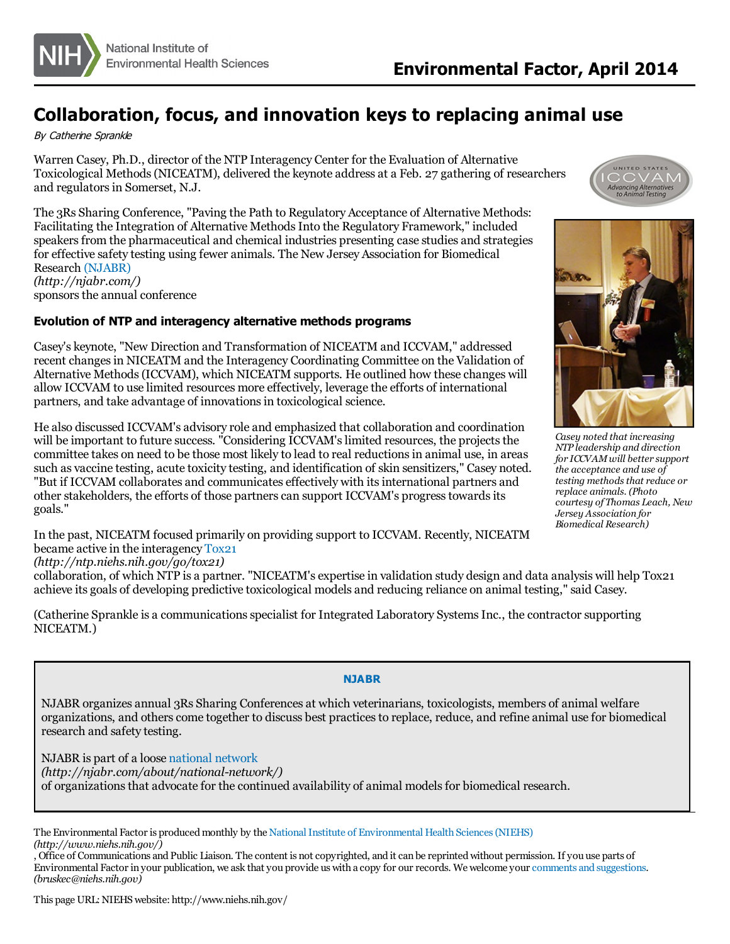

## **Collaboration, focus, and innovation keys to replacing animal use**

By Catherine Sprankle

Warren Casey, Ph.D., director of the NTP Interagency Center for the Evaluation of Alternative Toxicological Methods(NICEATM), delivered the keynote address at a Feb. 27 gathering of researchers and regulators in Somerset, N.J.

The 3Rs Sharing Conference, "Paving the Path to Regulatory Acceptance of Alternative Methods: Facilitating the Integration of Alternative Methods Into the Regulatory Framework," included speakers from the pharmaceutical and chemical industries presenting case studies and strategies for effective safety testing using fewer animals. The New Jersey Association for Biomedical Research [\(NJABR\)](http://njabr.com/) *(http://njabr.com/)* sponsors the annual conference

## **Evolution of NTP and interagency alternative methods programs**

Casey's keynote, "New Direction and Transformation of NICEATM and ICCVAM," addressed recent changes in NICEATM and the Interagency Coordinating Committee on the Validation of Alternative Methods(ICCVAM), which NICEATM supports. He outlined how these changes will allow ICCVAM to use limited resources more effectively, leverage the efforts of international partners, and take advantage of innovations in toxicological science.





*Casey noted that increasing NTP leadership and direction for ICCVAMwill better support the acceptance and use of testing methodsthat reduce or replace animals. (Photo courtesy of Thomas Leach, New Jersey Association for Biomedical Research)*

He also discussed ICCVAM's advisory role and emphasized that collaboration and coordination will be important to future success. "Considering ICCVAM's limited resources, the projects the committee takes on need to be those most likely to lead to real reductionsin animal use, in areas such as vaccine testing, acute toxicity testing, and identification of skin sensitizers," Casey noted. "But if ICCVAM collaborates and communicates effectively with itsinternational partners and other stakeholders, the efforts of those partnerscan support ICCVAM's progresstowardsits goals."

In the past, NICEATM focused primarily on providing support to ICCVAM. Recently, NICEATM became active in the interagency [Tox21](http://ntp.niehs.nih.gov/go/tox21)

*(http://ntp.niehs.nih.gov/go/tox21)*

collaboration, of which NTP is a partner. "NICEATM's expertise in validation study design and data analysis will help Tox21 achieve its goals of developing predictive toxicological models and reducing reliance on animal testing," said Casey.

(Catherine Sprankle is a communications specialist for Integrated Laboratory Systems Inc., the contractor supporting NICEATM.)

## **NJABR**

NJABR organizes annual 3Rs Sharing Conferences at which veterinarians, toxicologists, members of animal welfare organizations, and otherscome together to discuss best practicesto replace, reduce, and refine animal use for biomedical research and safety testing.

NJABR is part of a loose [national](http://njabr.com/about/national-network/) network *(http://njabr.com/about/national-network/)* of organizationsthat advocate for the continued availability of animal modelsfor biomedical research.

The Environmental Factor is produced monthly by the National Institute of Environmental Health Sciences (NIEHS) *(http://www.niehs.nih.gov/)*

, Office of Communications and Public Liaison. The content is not copyrighted, and it can be reprinted without permission. If you use parts of Environmental Factor in your publication, we ask that you provide us with a copy for our records. We welcome your comments and [suggestions](mailto:bruskec@niehs.nih.gov). *(bruskec@niehs.nih.gov)*

This page URL:NIEHSwebsite: http://www.niehs.nih.gov/